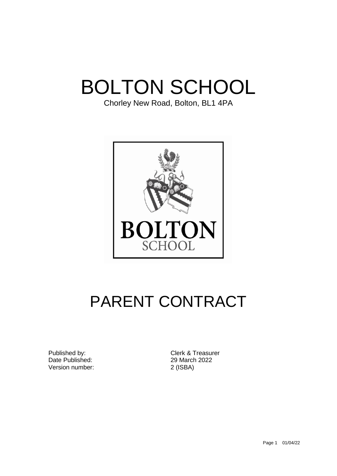# BOLTON SCHOOL

Chorley New Road, Bolton, BL1 4PA



# PARENT CONTRACT

Date Published: 29 March 2022 Version number: 2 (ISBA)

Published by: Clerk & Treasurer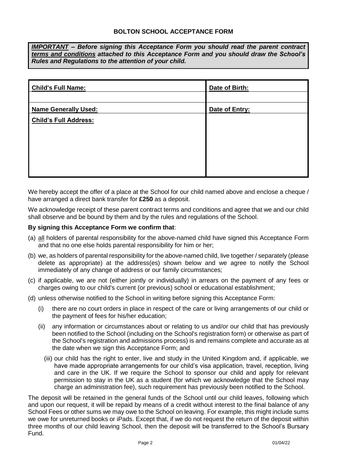*IMPORTANT – Before signing this Acceptance Form you should read the parent contract terms and conditions attached to this Acceptance Form and you should draw the School's Rules and Regulations to the attention of your child.* 

| <b>Child's Full Name:</b>    | Date of Birth: |
|------------------------------|----------------|
|                              |                |
| <b>Name Generally Used:</b>  | Date of Entry: |
| <b>Child's Full Address:</b> |                |
|                              |                |
|                              |                |
|                              |                |
|                              |                |
|                              |                |

We hereby accept the offer of a place at the School for our child named above and enclose a cheque / have arranged a direct bank transfer for **£250** as a deposit.

We acknowledge receipt of these parent contract terms and conditions and agree that we and our child shall observe and be bound by them and by the rules and regulations of the School.

#### **By signing this Acceptance Form we confirm that**:

- (a) all holders of parental responsibility for the above-named child have signed this Acceptance Form and that no one else holds parental responsibility for him or her;
- (b) we, as holders of parental responsibility for the above-named child, live together / separately (please delete as appropriate) at the address(es) shown below and we agree to notify the School immediately of any change of address or our family circumstances;
- (c) if applicable, we are not (either jointly or individually) in arrears on the payment of any fees or charges owing to our child's current (or previous) school or educational establishment;
- (d) unless otherwise notified to the School in writing before signing this Acceptance Form:
	- (i) there are no court orders in place in respect of the care or living arrangements of our child or the payment of fees for his/her education;
	- (ii) any information or circumstances about or relating to us and/or our child that has previously been notified to the School (including on the School's registration form) or otherwise as part of the School's registration and admissions process) is and remains complete and accurate as at the date when we sign this Acceptance Form; and
		- (iii) our child has the right to enter, live and study in the United Kingdom and, if applicable, we have made appropriate arrangements for our child's visa application, travel, reception, living and care in the UK. If we require the School to sponsor our child and apply for relevant permission to stay in the UK as a student (for which we acknowledge that the School may charge an administration fee), such requirement has previously been notified to the School.

The deposit will be retained in the general funds of the School until our child leaves, following which and upon our request, it will be repaid by means of a credit without interest to the final balance of any School Fees or other sums we may owe to the School on leaving. For example, this might include sums we owe for unreturned books or iPads. Except that, if we do not request the return of the deposit within three months of our child leaving School, then the deposit will be transferred to the School's Bursary Fund.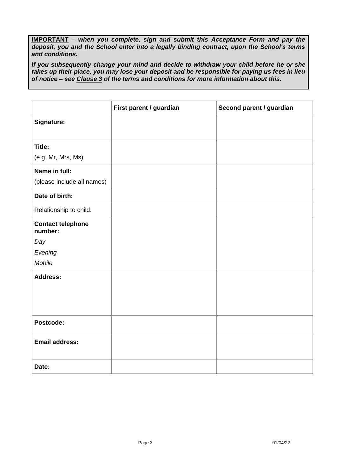**IMPORTANT** *– when you complete, sign and submit this Acceptance Form and pay the deposit, you and the School enter into a legally binding contract, upon the School's terms and conditions.* 

*If you subsequently change your mind and decide to withdraw your child before he or she takes up their place, you may lose your deposit and be responsible for paying us fees in lieu of notice – see Clause 3 of the terms and conditions for more information about this.*

|                                     | First parent / guardian | Second parent / guardian |
|-------------------------------------|-------------------------|--------------------------|
| Signature:                          |                         |                          |
|                                     |                         |                          |
| Title:                              |                         |                          |
| (e.g. Mr, Mrs, Ms)                  |                         |                          |
| Name in full:                       |                         |                          |
| (please include all names)          |                         |                          |
| Date of birth:                      |                         |                          |
| Relationship to child:              |                         |                          |
| <b>Contact telephone</b><br>number: |                         |                          |
| Day                                 |                         |                          |
| Evening                             |                         |                          |
| Mobile                              |                         |                          |
| <b>Address:</b>                     |                         |                          |
|                                     |                         |                          |
|                                     |                         |                          |
|                                     |                         |                          |
| Postcode:                           |                         |                          |
| <b>Email address:</b>               |                         |                          |
|                                     |                         |                          |
| Date:                               |                         |                          |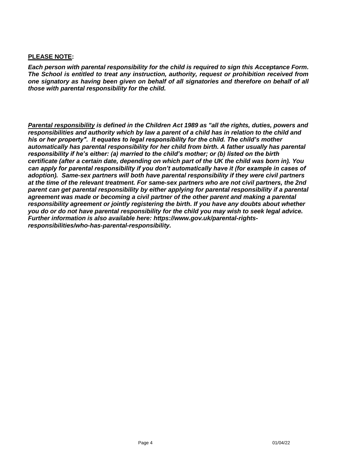#### **PLEASE NOTE:**

*Each person with parental responsibility for the child is required to sign this Acceptance Form. The School is entitled to treat any instruction, authority, request or prohibition received from one signatory as having been given on behalf of all signatories and therefore on behalf of all those with parental responsibility for the child.* 

*Parental responsibility is defined in the Children Act 1989 as "all the rights, duties, powers and responsibilities and authority which by law a parent of a child has in relation to the child and his or her property". It equates to legal responsibility for the child. The child's mother automatically has parental responsibility for her child from birth. A father usually has parental responsibility if he's either: (a) married to the child's mother; or (b) listed on the birth certificate (after a certain date, depending on which part of the UK the child was born in). You can apply for parental responsibility if you don't automatically have it (for example in cases of adoption). Same-sex partners will both have parental responsibility if they were civil partners at the time of the relevant treatment. For same-sex partners who are not civil partners, the 2nd parent can get parental responsibility by either [applying for parental responsibility](https://www.gov.uk/parental-rights-responsibilities/apply-for-parental-responsibility) if a parental agreement was made or becoming a civil partner of the other parent and making a parental responsibility agreement or jointly registering the birth. If you have any doubts about whether you do or do not have parental responsibility for the child you may wish to seek legal advice. Further information is also available here: [https://www.gov.uk/parental-rights](https://www.gov.uk/parental-rights-responsibilities/who-has-parental-responsibility)[responsibilities/who-has-parental-responsibility.](https://www.gov.uk/parental-rights-responsibilities/who-has-parental-responsibility)*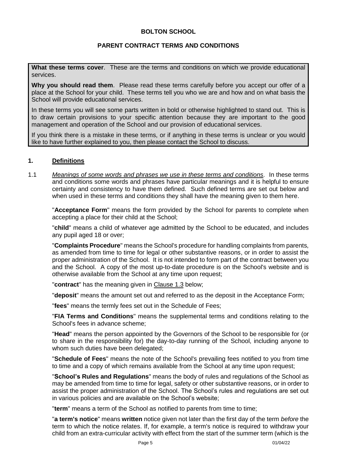#### **BOLTON SCHOOL**

#### **PARENT CONTRACT TERMS AND CONDITIONS**

**What these terms cover**. These are the terms and conditions on which we provide educational services.

**Why you should read them**. Please read these terms carefully before you accept our offer of a place at the School for your child. These terms tell you who we are and how and on what basis the School will provide educational services.

In these terms you will see some parts written in bold or otherwise highlighted to stand out. This is to draw certain provisions to your specific attention because they are important to the good management and operation of the School and our provision of educational services.

If you think there is a mistake in these terms, or if anything in these terms is unclear or you would like to have further explained to you, then please contact the School to discuss.

#### **1. Definitions**

1.1 *Meanings of some words and phrases we use in these terms and conditions.* In these terms and conditions some words and phrases have particular meanings and it is helpful to ensure certainty and consistency to have them defined. Such defined terms are set out below and when used in these terms and conditions they shall have the meaning given to them here.

"**Acceptance Form**" means the form provided by the School for parents to complete when accepting a place for their child at the School;

"**child**" means a child of whatever age admitted by the School to be educated, and includes any pupil aged 18 or over;

"**Complaints Procedure**" means the School's procedure for handling complaints from parents, as amended from time to time for legal or other substantive reasons, or in order to assist the proper administration of the School. It is not intended to form part of the contract between you and the School. A copy of the most up-to-date procedure is on the School's website and is otherwise available from the School at any time upon request;

"**contract**" has the meaning given in Clause 1.3 below;

"**deposit**" means the amount set out and referred to as the deposit in the Acceptance Form;

"**fees**" means the termly fees set out in the Schedule of Fees;

"**FIA Terms and Conditions**" means the supplemental terms and conditions relating to the School's fees in advance scheme;

"**Head**" means the person appointed by the Governors of the School to be responsible for (or to share in the responsibility for) the day-to-day running of the School, including anyone to whom such duties have been delegated;

"**Schedule of Fees**" means the note of the School's prevailing fees notified to you from time to time and a copy of which remains available from the School at any time upon request;

"**School's Rules and Regulations**" means the body of rules and regulations of the School as may be amended from time to time for legal, safety or other substantive reasons, or in order to assist the proper administration of the School. The School's rules and regulations are set out in various policies and are available on the School's website;

"**term**" means a term of the School as notified to parents from time to time;

"**a term's notice**" means **written** notice given not later than the first day of the term *before* the term to which the notice relates. If, for example, a term's notice is required to withdraw your child from an extra-curricular activity with effect from the start of the summer term (which is the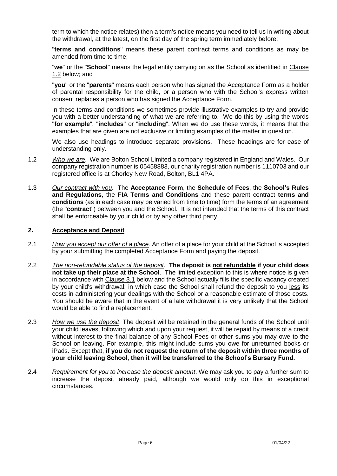term to which the notice relates) then a term's notice means you need to tell us in writing about the withdrawal, at the latest, on the first day of the spring term immediately before;

"**terms and conditions**" means these parent contract terms and conditions as may be amended from time to time;

"**we**" or the "**School**" means the legal entity carrying on as the School as identified in Clause 1.2 below; and

"**you**" or the "**parents**" means each person who has signed the Acceptance Form as a holder of parental responsibility for the child, or a person who with the School's express written consent replaces a person who has signed the Acceptance Form.

In these terms and conditions we sometimes provide illustrative examples to try and provide you with a better understanding of what we are referring to. We do this by using the words "**for example**", "**includes**" or "**including**". When we do use these words, it means that the examples that are given are not exclusive or limiting examples of the matter in question.

We also use headings to introduce separate provisions. These headings are for ease of understanding only.

- 1.2 *Who we are*. We are Bolton School Limited a company registered in England and Wales. Our company registration number is 05458883, our charity registration number is 1110703 and our registered office is at Chorley New Road, Bolton, BL1 4PA.
- 1.3 *Our contract with you*. The **Acceptance Form**, the **Schedule of Fees**, the **School's Rules and Regulations**, the **FIA Terms and Conditions** and these parent contract **terms and conditions** (as in each case may be varied from time to time) form the terms of an agreement (the "**contract**") between you and the School. It is not intended that the terms of this contract shall be enforceable by your child or by any other third party.

#### **2. Acceptance and Deposit**

- 2.1 *How you accept our offer of a place.* An offer of a place for your child at the School is accepted by your submitting the completed Acceptance Form and paying the deposit.
- 2.2 *The non-refundable status of the deposit*. **The deposit is not refundable if your child does not take up their place at the School**. The limited exception to this is where notice is given in accordance with Clause 3.1 below and the School actually fills the specific vacancy created by your child's withdrawal; in which case the School shall refund the deposit to you less its costs in administering your dealings with the School or a reasonable estimate of those costs. You should be aware that in the event of a late withdrawal it is very unlikely that the School would be able to find a replacement.
- 2.3 *How we use the deposit*. The deposit will be retained in the general funds of the School until your child leaves, following which and upon your request, it will be repaid by means of a credit without interest to the final balance of any School Fees or other sums you may owe to the School on leaving. For example, this might include sums you owe for unreturned books or iPads. Except that, **if you do not request the return of the deposit within three months of your child leaving School, then it will be transferred to the School's Bursary Fund.**
- 2.4 *Requirement for you to increase the deposit amount*. We may ask you to pay a further sum to increase the deposit already paid, although we would only do this in exceptional circumstances.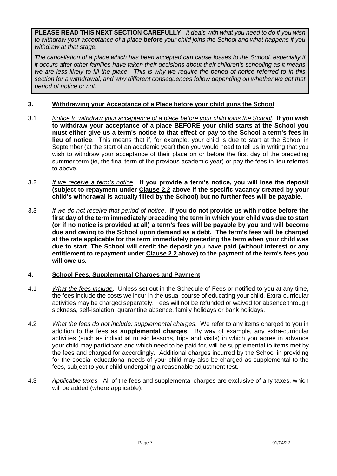**PLEASE READ THIS NEXT SECTION CAREFULLY** *- it deals with what you need to do if you wish to withdraw your acceptance of a place before your child joins the School and what happens if you withdraw at that stage.*

*The cancellation of a place which has been accepted can cause losses to the School, especially if it occurs after other families have taken their decisions about their children's schooling as it means we are less likely to fill the place. This is why we require the period of notice referred to in this section for a withdrawal, and why different consequences follow depending on whether we get that period of notice or not.*

# **3. Withdrawing your Acceptance of a Place before your child joins the School**

- 3.1 *Notice to withdraw your acceptance of a place before your child joins the School*. **If you wish to withdraw your acceptance of a place BEFORE your child starts at the School you must either give us a term's notice to that effect or pay to the School a term's fees in lieu of notice**. This means that if, for example, your child is due to start at the School in September (at the start of an academic year) then you would need to tell us in writing that you wish to withdraw your acceptance of their place on or before the first day of the preceding summer term (ie, the final term of the previous academic year) or pay the fees in lieu referred to above.
- 3.2 *If we receive a term's notice*. **If you provide a term's notice, you will lose the deposit (subject to repayment under Clause 2.2 above if the specific vacancy created by your child's withdrawal is actually filled by the School) but no further fees will be payable**.
- 3.3 *If we do not receive that period of notice*. **If you do not provide us with notice before the first day of the term immediately preceding the term in which your child was due to start (or if no notice is provided at all) a term's fees will be payable by you and will become due and owing to the School upon demand as a debt. The term's fees will be charged at the rate applicable for the term immediately preceding the term when your child was due to start. The School will credit the deposit you have paid (without interest or any entitlement to repayment under Clause 2.2 above) to the payment of the term's fees you will owe us.**

#### **4. School Fees, Supplemental Charges and Payment**

- 4.1 *What the fees include*. Unless set out in the Schedule of Fees or notified to you at any time, the fees include the costs we incur in the usual course of educating your child. Extra-curricular activities may be charged separately. Fees will not be refunded or waived for absence through sickness, self-isolation, quarantine absence, family holidays or bank holidays.
- 4.2 *What the fees do not include: supplemental charges*. We refer to any items charged to you in addition to the fees as **supplemental charges**. By way of example, any extra-curricular activities (such as individual music lessons, trips and visits) in which you agree in advance your child may participate and which need to be paid for, will be supplemental to items met by the fees and charged for accordingly. Additional charges incurred by the School in providing for the special educational needs of your child may also be charged as supplemental to the fees, subject to your child undergoing a reasonable adjustment test.
- 4.3 *Applicable taxes.* All of the fees and supplemental charges are exclusive of any taxes, which will be added (where applicable).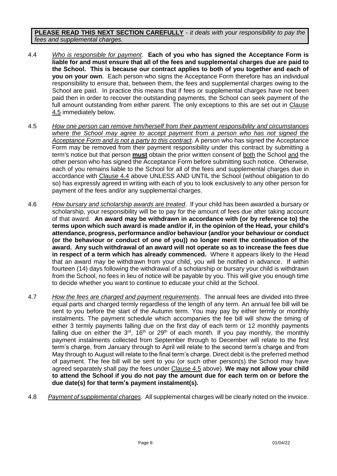**PLEASE READ THIS NEXT SECTION CAREFULLY** *- it deals with your responsibility to pay the fees and supplemental charges.*

- 4.4 *Who is responsible for payment*. **Each of you who has signed the Acceptance Form is liable for and must ensure that all of the fees and supplemental charges due are paid to the School. This is because our contract applies to both of you together and each of you on your own**. Each person who signs the Acceptance Form therefore has an individual responsibility to ensure that, between them, the fees and supplemental charges owing to the School are paid. In practice this means that if fees or supplemental charges have not been paid then in order to recover the outstanding payments, the School can seek payment of the full amount outstanding from either parent. The only exceptions to this are set out in Clause 4.5 immediately below.
- 4.5 *How one person can remove him/herself from their payment responsibility and circumstances where the School may agree to accept payment from a person who has not signed the Acceptance Form and is not a party to this contract*. A person who has signed the Acceptance Form may be removed from their payment responsibility under this contract by submitting a term's notice but that person **must** obtain the prior written consent of both the School and the other person who has signed the Acceptance Form before submitting such notice. Otherwise, each of you remains liable to the School for all of the fees and supplemental charges due in accordance with Clause 4.4 above UNLESS AND UNTIL the School (without obligation to do so) has expressly agreed in writing with each of you to look exclusively to any other person for payment of the fees and/or any supplemental charges.
- 4.6 *How bursary and scholarship awards are treated*. If your child has been awarded a bursary or scholarship, your responsibility will be to pay for the amount of fees due after taking account of that award. **An award may be withdrawn in accordance with (or by reference to) the terms upon which such award is made and/or if, in the opinion of the Head, your child's attendance, progress, performance and/or behaviour (and/or your behaviour or conduct (or the behaviour or conduct of one of you)) no longer merit the continuation of the award. Any such withdrawal of an award will not operate so as to increase the fees due in respect of a term which has already commenced.** Where it appears likely to the Head that an award may be withdrawn from your child, you will be notified in advance. If within fourteen (14) days following the withdrawal of a scholarship or bursary your child is withdrawn from the School, no fees in lieu of notice will be payable by you. This will give you enough time to decide whether you want to continue to educate your child at the School.
- 4.7 *How the fees are charged and payment requirements*. The annual fees are divided into three equal parts and charged termly regardless of the length of any term. An annual fee bill will be sent to you before the start of the Autumn term. You may pay by either termly or monthly instalments. The payment schedule which accompanies the fee bill will show the timing of either 3 termly payments falling due on the first day of each term or 12 monthly payments falling due on either the  $3<sup>rd</sup>$ , 16<sup>th</sup> or 29<sup>th</sup> of each month. If you pay monthly, the monthly payment instalments collected from September through to December will relate to the first term's charge, from January through to April will relate to the second term's charge and from May through to August will relate to the final term's charge. Direct debit is the preferred method of payment. The fee bill will be sent to you (or such other person(s) the School may have agreed separately shall pay the fees under Clause 4.5 above). **We may not allow your child to attend the School if you do not pay the amount due for each term on or before the due date(s) for that term's payment instalment(s).**
- 4.8 *Payment of supplemental charges*. All supplemental charges will be clearly noted on the invoice.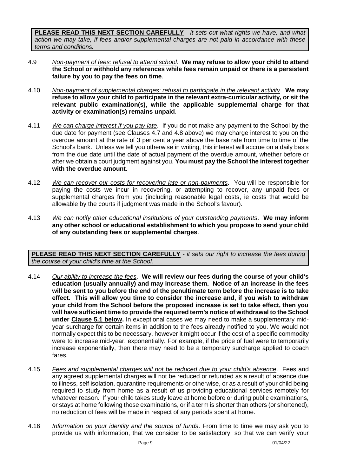**PLEASE READ THIS NEXT SECTION CAREFULLY** *- it sets out what rights we have, and what action we may take, if fees and/or supplemental charges are not paid in accordance with these terms and conditions.*

- 4.9 *Non-payment of fees: refusal to attend school*. **We may refuse to allow your child to attend the School or withhold any references while fees remain unpaid or there is a persistent failure by you to pay the fees on time**.
- 4.10 *Non-payment of supplemental charges: refusal to participate in the relevant activity*. **We may refuse to allow your child to participate in the relevant extra-curricular activity, or sit the relevant public examination(s), while the applicable supplemental charge for that activity or examination(s) remains unpaid**.
- 4.11 *We can charge interest if you pay late*. If you do not make any payment to the School by the due date for payment (see Clauses 4.7 and 4.8 above) we may charge interest to you on the overdue amount at the rate of 3 per cent a year above the base rate from time to time of the School's bank. Unless we tell you otherwise in writing, this interest will accrue on a daily basis from the due date until the date of actual payment of the overdue amount, whether before or after we obtain a court judgment against you. **You must pay the School the interest together with the overdue amount**.
- 4.12 *We can recover our costs for recovering late or non-payments*. You will be responsible for paying the costs we incur in recovering, or attempting to recover, any unpaid fees or supplemental charges from you (including reasonable legal costs, ie costs that would be allowable by the courts if judgment was made in the School's favour).
- 4.13 *We can notify other educational institutions of your outstanding payments*. **We may inform any other school or educational establishment to which you propose to send your child of any outstanding fees or supplemental charges**.

**PLEASE READ THIS NEXT SECTION CAREFULLY** *- it sets our right to increase the fees during the course of your child's time at the School.*

- 4.14 *Our ability to increase the fees*. **We will review our fees during the course of your child's education (usually annually) and may increase them. Notice of an increase in the fees will be sent to you before the end of the penultimate term before the increase is to take effect. This will allow you time to consider the increase and, if you wish to withdraw your child from the School before the proposed increase is set to take effect, then you will have sufficient time to provide the required term's notice of withdrawal to the School under Clause 5.1 below.** In exceptional cases we may need to make a supplementary midyear surcharge for certain items in addition to the fees already notified to you. We would not normally expect this to be necessary, however it might occur if the cost of a specific commodity were to increase mid-year, exponentially. For example, if the price of fuel were to temporarily increase exponentially, then there may need to be a temporary surcharge applied to coach fares.
- 4.15 *Fees and supplemental charges will not be reduced due to your child's absence*. Fees and any agreed supplemental charges will not be reduced or refunded as a result of absence due to illness, self isolation, quarantine requirements or otherwise, or as a result of your child being required to study from home as a result of us providing educational services remotely for whatever reason. If your child takes study leave at home before or during public examinations, or stays at home following those examinations, or if a term is shorter than others (or shortened), no reduction of fees will be made in respect of any periods spent at home.
- 4.16 *Information on your identity and the source of funds*. From time to time we may ask you to provide us with information, that we consider to be satisfactory, so that we can verify your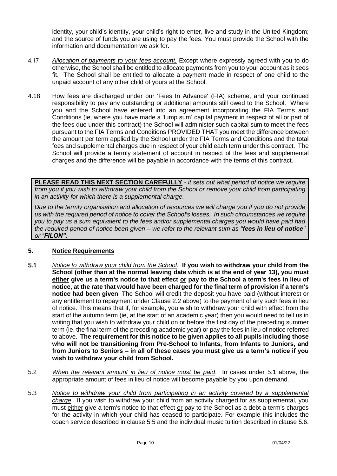identity, your child's identity, your child's right to enter, live and study in the United Kingdom; and the source of funds you are using to pay the fees. You must provide the School with the information and documentation we ask for.

- 4.17 *Allocation of payments to your fees account.* Except where expressly agreed with you to do otherwise, the School shall be entitled to allocate payments from you to your account as it sees fit. The School shall be entitled to allocate a payment made in respect of one child to the unpaid account of any other child of yours at the School.
- 4.18 How fees are discharged under our 'Fees In Advance' (FIA) scheme, and your continued responsibility to pay any outstanding or additional amounts still owed to the School. Where you and the School have entered into an agreement incorporating the FIA Terms and Conditions (ie, where you have made a 'lump sum' capital payment in respect of all or part of the fees due under this contract) the School will administer such capital sum to meet the fees pursuant to the FIA Terms and Conditions PROVIDED THAT you meet the difference between the amount per term applied by the School under the FIA Terms and Conditions and the total fees and supplemental charges due in respect of your child each term under this contract. The School will provide a termly statement of account in respect of the fees and supplemental charges and the difference will be payable in accordance with the terms of this contract.

**PLEASE READ THIS NEXT SECTION CAREFULLY** *- it sets out what period of notice we require from you if you wish to withdraw your child from the School or remove your child from participating in an activity for which there is a supplemental charge.*

*Due to the termly organisation and allocation of resources we will charge you if you do not provide us with the required period of notice to cover the School's losses. In such circumstances we require you to pay us a sum equivalent to the fees and/or supplemental charges you would have paid had the required period of notice been given – we refer to the relevant sum as "fees in lieu of notice" or "FILON".* 

# **5. Notice Requirements**

- 5.1 *Notice to withdraw your child from the School*. **If you wish to withdraw your child from the School (other than at the normal leaving date which is at the end of year 13), you must either give us a term's notice to that effect or pay to the School a term's fees in lieu of notice, at the rate that would have been charged for the final term of provision if a term's notice had been given**. The School will credit the deposit you have paid (without interest or any entitlement to repayment under Clause 2.2 above) to the payment of any such fees in lieu of notice. This means that if, for example, you wish to withdraw your child with effect from the start of the autumn term (ie, at the start of an academic year) then you would need to tell us in writing that you wish to withdraw your child on or before the first day of the preceding summer term (ie, the final term of the preceding academic year) or pay the fees in lieu of notice referred to above. **The requirement for this notice to be given applies to all pupils including those who will not be transitioning from Pre-School to Infants, from Infants to Juniors, and from Juniors to Seniors – in all of these cases you must give us a term's notice if you wish to withdraw your child from School.**
- 5.2 *When the relevant amount in lieu of notice must be paid*. In cases under 5.1 above, the appropriate amount of fees in lieu of notice will become payable by you upon demand.
- 5.3 *Notice to withdraw your child from participating in an activity covered by a supplemental charge*. If you wish to withdraw your child from an activity charged for as supplemental, you must either give a term's notice to that effect or pay to the School as a debt a term's charges for the activity in which your child has ceased to participate. For example this includes the coach service described in clause 5.5 and the individual music tuition described in clause 5.6.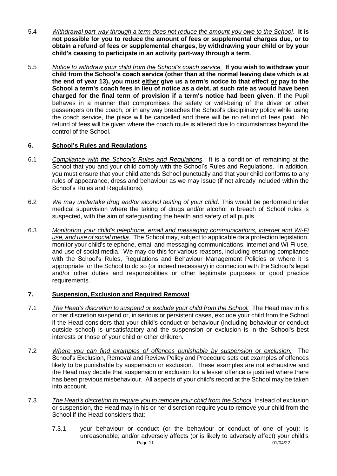- 5.4 *Withdrawal part-way through a term does not reduce the amount you owe to the School*. **It is not possible for you to reduce the amount of fees or supplemental charges due, or to obtain a refund of fees or supplemental charges, by withdrawing your child or by your child's ceasing to participate in an activity part-way through a term**.
- 5.5 *Notice to withdraw your child from the School's coach service.* **If you wish to withdraw your child from the School's coach service (other than at the normal leaving date which is at the end of year 13), you must either give us a term's notice to that effect or pay to the School a term's coach fees in lieu of notice as a debt, at such rate as would have been charged for the final term of provision if a term's notice had been given**. If the Pupil behaves in a manner that compromises the safety or well-being of the driver or other passengers on the coach, or in any way breaches the School's disciplinary policy while using the coach service, the place will be cancelled and there will be no refund of fees paid. No refund of fees will be given where the coach route is altered due to circumstances beyond the control of the School.

# **6. School's Rules and Regulations**

- 6.1 *Compliance with the School's Rules and Regulations*. It is a condition of remaining at the School that you and your child comply with the School's Rules and Regulations. In addition, you must ensure that your child attends School punctually and that your child conforms to any rules of appearance, dress and behaviour as we may issue (if not already included within the School's Rules and Regulations).
- 6.2 *We may undertake drug and/or alcohol testing of your child*. This would be performed under medical supervision where the taking of drugs and/or alcohol in breach of School rules is suspected, with the aim of safeguarding the health and safety of all pupils.
- 6.3 *Monitoring your child's telephone, email and messaging communications, internet and Wi-Fi use, and use of social media*. The School may, subject to applicable data protection legislation, monitor your child's telephone, email and messaging communications, internet and Wi-Fi use, and use of social media. We may do this for various reasons, including ensuring compliance with the School's Rules, Regulations and Behaviour Management Policies or where it is appropriate for the School to do so (or indeed necessary) in connection with the School's legal and/or other duties and responsibilities or other legitimate purposes or good practice requirements.

# **7. Suspension, Exclusion and Required Removal**

- 7.1 *The Head's discretion to suspend or exclude your child from the School.* The Head may in his or her discretion suspend or, in serious or persistent cases, exclude your child from the School if the Head considers that your child's conduct or behaviour (including behaviour or conduct outside school) is unsatisfactory and the suspension or exclusion is in the School's best interests or those of your child or other children.
- 7.2 *Where you can find examples of offences punishable by suspension or exclusion.* The School's Exclusion, Removal and Review Policy and Procedure sets out examples of offences likely to be punishable by suspension or exclusion. These examples are not exhaustive and the Head may decide that suspension or exclusion for a lesser offence is justified where there has been previous misbehaviour. All aspects of your child's record at the School may be taken into account.
- 7.3 *The Head's discretion to require you to remove your child from the School*. Instead of exclusion or suspension, the Head may in his or her discretion require you to remove your child from the School if the Head considers that:
	- Page 11 01/04/22 7.3.1 your behaviour or conduct (or the behaviour or conduct of one of you): is unreasonable; and/or adversely affects (or is likely to adversely affect) your child's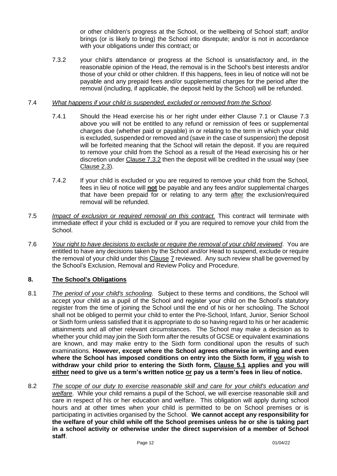or other children's progress at the School, or the wellbeing of School staff; and/or brings (or is likely to bring) the School into disrepute; and/or is not in accordance with your obligations under this contract; or

7.3.2 your child's attendance or progress at the School is unsatisfactory and, in the reasonable opinion of the Head, the removal is in the School's best interests and/or those of your child or other children. If this happens, fees in lieu of notice will not be payable and any prepaid fees and/or supplemental charges for the period after the removal (including, if applicable, the deposit held by the School) will be refunded.

#### 7.4 *What happens if your child is suspended, excluded or removed from the School*.

- 7.4.1 Should the Head exercise his or her right under either Clause 7.1 or Clause 7.3 above you will not be entitled to any refund or remission of fees or supplemental charges due (whether paid or payable) in or relating to the term in which your child is excluded, suspended or removed and (save in the case of suspension) the deposit will be forfeited meaning that the School will retain the deposit. If you are required to remove your child from the School as a result of the Head exercising his or her discretion under Clause 7.3.2 then the deposit will be credited in the usual way (see Clause 2.3).
- 7.4.2 If your child is excluded or you are required to remove your child from the School, fees in lieu of notice will **not** be payable and any fees and/or supplemental charges that have been prepaid for or relating to any term after the exclusion/required removal will be refunded.
- 7.5 *Impact of exclusion or required removal on this contract.* This contract will terminate with immediate effect if your child is excluded or if you are required to remove your child from the School.
- 7.6 *Your right to have decisions to exclude or require the removal of your child reviewed*. You are entitled to have any decisions taken by the School and/or Head to suspend, exclude or require the removal of your child under this Clause 7 reviewed. Any such review shall be governed by the School's Exclusion, Removal and Review Policy and Procedure.

#### **8. The School's Obligations**

- 8.1 *The period of your child's schooling*. Subject to these terms and conditions, the School will accept your child as a pupil of the School and register your child on the School's statutory register from the time of joining the School until the end of his or her schooling. The School shall not be obliged to permit your child to enter the Pre-School, Infant, Junior, Senior School or Sixth form unless satisfied that it is appropriate to do so having regard to his or her academic attainments and all other relevant circumstances. The School may make a decision as to whether your child may join the Sixth form after the results of GCSE or equivalent examinations are known, and may make entry to the Sixth form conditional upon the results of such examinations. **However, except where the School agrees otherwise in writing and even where the School has imposed conditions on entry into the Sixth form, if you wish to withdraw your child prior to entering the Sixth form, Clause 5.1 applies and you will either need to give us a term's written notice or pay us a term's fees in lieu of notice.**
- 8.2 *The scope of our duty to exercise reasonable skill and care for your child's education and welfare*. While your child remains a pupil of the School, we will exercise reasonable skill and care in respect of his or her education and welfare. This obligation will apply during school hours and at other times when your child is permitted to be on School premises or is participating in activities organised by the School. **We cannot accept any responsibility for the welfare of your child while off the School premises unless he or she is taking part in a school activity or otherwise under the direct supervision of a member of School staff**.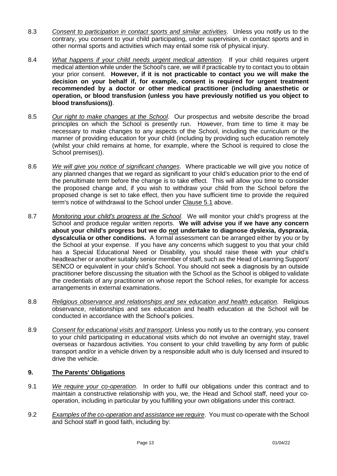- 8.3 *Consent to participation in contact sports and similar activities*. Unless you notify us to the contrary, you consent to your child participating, under supervision, in contact sports and in other normal sports and activities which may entail some risk of physical injury.
- 8.4 *What happens if your child needs urgent medical attention*. If your child requires urgent medical attention while under the School's care, we will if practicable try to contact you to obtain your prior consent. **However, if it is not practicable to contact you we will make the decision on your behalf if, for example, consent is required for urgent treatment recommended by a doctor or other medical practitioner (including anaesthetic or operation, or blood transfusion (unless you have previously notified us you object to blood transfusions))**.
- 8.5 *Our right to make changes at the School*. Our prospectus and website describe the broad principles on which the School is presently run. However, from time to time it may be necessary to make changes to any aspects of the School, including the curriculum or the manner of providing education for your child (including by providing such education remotely (whilst your child remains at home, for example, where the School is required to close the School premises)).
- 8.6 *We will give you notice of significant changes*. Where practicable we will give you notice of any planned changes that we regard as significant to your child's education prior to the end of the penultimate term before the change is to take effect. This will allow you time to consider the proposed change and, if you wish to withdraw your child from the School before the proposed change is set to take effect, then you have sufficient time to provide the required term's notice of withdrawal to the School under Clause 5.1 above.
- 8.7 *Monitoring your child's progress at the School*. We will monitor your child's progress at the School and produce regular written reports. **We will advise you if we have any concern about your child's progress but we do not undertake to diagnose dyslexia, dyspraxia, dyscalculia or other conditions.** A formal assessment can be arranged either by you or by the School at your expense. If you have any concerns which suggest to you that your child has a Special Educational Need or Disability, you should raise these with your child's headteacher or another suitably senior member of staff, such as the Head of Learning Support/ SENCO or equivalent in your child's School. You should not seek a diagnosis by an outside practitioner before discussing the situation with the School as the School is obliged to validate the credentials of any practitioner on whose report the School relies, for example for access arrangements in external examinations.
- 8.8 *Religious observance and relationships and sex education and health education*. Religious observance, relationships and sex education and health education at the School will be conducted in accordance with the School's policies.
- 8.9 *Consent for educational visits and transport*. Unless you notify us to the contrary, you consent to your child participating in educational visits which do not involve an overnight stay, travel overseas or hazardous activities. You consent to your child travelling by any form of public transport and/or in a vehicle driven by a responsible adult who is duly licensed and insured to drive the vehicle.

# **9. The Parents' Obligations**

- 9.1 *We require your co-operation*. In order to fulfil our obligations under this contract and to maintain a constructive relationship with you, we, the Head and School staff, need your cooperation, including in particular by you fulfilling your own obligations under this contract.
- 9.2 *Examples of the co-operation and assistance we require*. You must co-operate with the School and School staff in good faith, including by: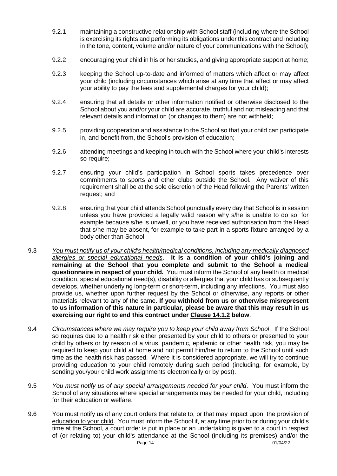- 9.2.1 maintaining a constructive relationship with School staff (including where the School is exercising its rights and performing its obligations under this contract and including in the tone, content, volume and/or nature of your communications with the School);
- 9.2.2 encouraging your child in his or her studies, and giving appropriate support at home;
- 9.2.3 keeping the School up-to-date and informed of matters which affect or may affect your child (including circumstances which arise at any time that affect or may affect your ability to pay the fees and supplemental charges for your child);
- 9.2.4 ensuring that all details or other information notified or otherwise disclosed to the School about you and/or your child are accurate, truthful and not misleading and that relevant details and information (or changes to them) are not withheld;
- 9.2.5 providing cooperation and assistance to the School so that your child can participate in, and benefit from, the School's provision of education;
- 9.2.6 attending meetings and keeping in touch with the School where your child's interests so require:
- 9.2.7 ensuring your child's participation in School sports takes precedence over commitments to sports and other clubs outside the School. Any waiver of this requirement shall be at the sole discretion of the Head following the Parents' written request; and
- 9.2.8 ensuring that your child attends School punctually every day that School is in session unless you have provided a legally valid reason why s/he is unable to do so, for example because s/he is unwell, or you have received authorisation from the Head that s/he may be absent, for example to take part in a sports fixture arranged by a body other than School.
- 9.3 *You must notify us of your child's health/medical conditions, including any medically diagnosed allergies or special educational needs*. **It is a condition of your child's joining and remaining at the School that you complete and submit to the School a medical questionnaire in respect of your child.** You must inform the School of any health or medical condition, special educational need(s), disability or allergies that your child has or subsequently develops, whether underlying long-term or short-term, including any infections. You must also provide us, whether upon further request by the School or otherwise, any reports or other materials relevant to any of the same. **If you withhold from us or otherwise misrepresent to us information of this nature in particular, please be aware that this may result in us exercising our right to end this contract under Clause 14.1.2 below**.
- 9.4 *Circumstances where we may require you to keep your child away from School*. If the School so requires due to a health risk either presented by your child to others or presented to your child by others or by reason of a virus, pandemic, epidemic or other health risk, you may be required to keep your child at home and not permit him/her to return to the School until such time as the health risk has passed. Where it is considered appropriate, we will try to continue providing education to your child remotely during such period (including, for example, by sending you/your child work assignments electronically or by post).
- 9.5 *You must notify us of any special arrangements needed for your child*. You must inform the School of any situations where special arrangements may be needed for your child, including for their education or welfare.
- Page 14 01/04/22 9.6 You must notify us of any court orders that relate to, or that may impact upon, the provision of education to your child. You must inform the School if, at any time prior to or during your child's time at the School, a court order is put in place or an undertaking is given to a court in respect of (or relating to) your child's attendance at the School (including its premises) and/or the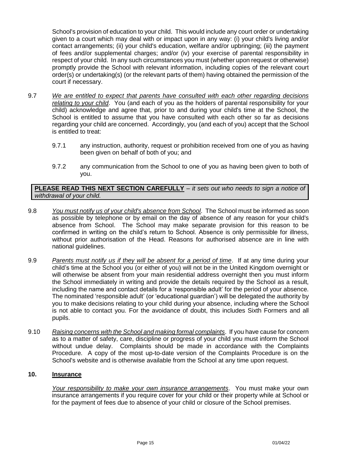School's provision of education to your child. This would include any court order or undertaking given to a court which may deal with or impact upon in any way: (i) your child's living and/or contact arrangements; (ii) your child's education, welfare and/or upbringing; (iii) the payment of fees and/or supplemental charges; and/or (iv) your exercise of parental responsibility in respect of your child. In any such circumstances you must (whether upon request or otherwise) promptly provide the School with relevant information, including copies of the relevant court order(s) or undertaking(s) (or the relevant parts of them) having obtained the permission of the court if necessary.

- 9.7 *We are entitled to expect that parents have consulted with each other regarding decisions relating to your child*. You (and each of you as the holders of parental responsibility for your child) acknowledge and agree that, prior to and during your child's time at the School, the School is entitled to assume that you have consulted with each other so far as decisions regarding your child are concerned. Accordingly, you (and each of you) accept that the School is entitled to treat:
	- 9.7.1 any instruction, authority, request or prohibition received from one of you as having been given on behalf of both of you; and
	- 9.7.2 any communication from the School to one of you as having been given to both of you.

**PLEASE READ THIS NEXT SECTION CAREFULLY** *– it sets out who needs to sign a notice of withdrawal of your child.*

- 9.8 *You must notify us of your child's absence from School*. The School must be informed as soon as possible by telephone or by email on the day of absence of any reason for your child's absence from School. The School may make separate provision for this reason to be confirmed in writing on the child's return to School. Absence is only permissible for illness, without prior authorisation of the Head. Reasons for authorised absence are in line with national guidelines.
- 9.9 *Parents must notify us if they will be absent for a period of time*. If at any time during your child's time at the School you (or either of you) will not be in the United Kingdom overnight or will otherwise be absent from your main residential address overnight then you must inform the School immediately in writing and provide the details required by the School as a result, including the name and contact details for a 'responsible adult' for the period of your absence. The nominated 'responsible adult' (or 'educational guardian') will be delegated the authority by you to make decisions relating to your child during your absence, including where the School is not able to contact you. For the avoidance of doubt, this includes Sixth Formers and all pupils.
- 9.10 *Raising concerns with the School and making formal complaints*. If you have cause for concern as to a matter of safety, care, discipline or progress of your child you must inform the School without undue delay. Complaints should be made in accordance with the Complaints Procedure. A copy of the most up-to-date version of the Complaints Procedure is on the School's website and is otherwise available from the School at any time upon request.

#### **10. Insurance**

*Your responsibility to make your own insurance arrangements*. You must make your own insurance arrangements if you require cover for your child or their property while at School or for the payment of fees due to absence of your child or closure of the School premises.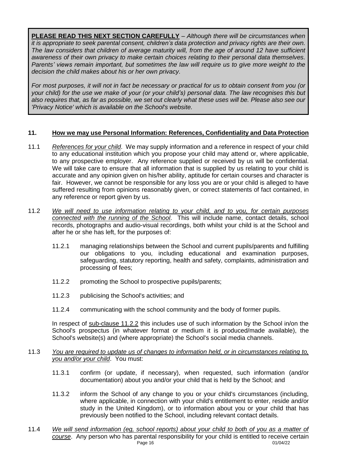**PLEASE READ THIS NEXT SECTION CAREFULLY** – *Although there will be circumstances when it is appropriate to seek parental consent, children's data protection and privacy rights are their own. The law considers that children of average maturity will, from the age of around 12 have sufficient awareness of their own privacy to make certain choices relating to their personal data themselves. Parents' views remain important, but sometimes the law will require us to give more weight to the decision the child makes about his or her own privacy.*

*For most purposes, it will not in fact be necessary or practical for us to obtain consent from you (or your child) for the use we make of your (or your child's) personal data. The law recognises this but also requires that, as far as possible, we set out clearly what these uses will be. Please also see our 'Privacy Notice' which is available on the School's website.*

## **11. How we may use Personal Information: References, Confidentiality and Data Protection**

- 11.1 *References for your child*. We may supply information and a reference in respect of your child to any educational institution which you propose your child may attend or, where applicable, to any prospective employer. Any reference supplied or received by us will be confidential. We will take care to ensure that all information that is supplied by us relating to your child is accurate and any opinion given on his/her ability, aptitude for certain courses and character is fair. However, we cannot be responsible for any loss you are or your child is alleged to have suffered resulting from opinions reasonably given, or correct statements of fact contained, in any reference or report given by us.
- 11.2 *We will need to use information relating to your child, and to you, for certain purposes connected with the running of the School*. This will include name, contact details, school records, photographs and audio-visual recordings, both whilst your child is at the School and after he or she has left, for the purposes of:
	- 11.2.1 managing relationships between the School and current pupils/parents and fulfilling our obligations to you, including educational and examination purposes, safeguarding, statutory reporting, health and safety, complaints, administration and processing of fees;
	- 11.2.2 promoting the School to prospective pupils/parents;
	- 11.2.3 publicising the School's activities; and
	- 11.2.4 communicating with the school community and the body of former pupils.

In respect of sub-clause 11.2.2 this includes use of such information by the School in/on the School's prospectus (in whatever format or medium it is produced/made available), the School's website(s) and (where appropriate) the School's social media channels.

#### 11.3 *You are required to update us of changes to information held, or in circumstances relating to, you and/or your child*. You must:

- 11.3.1 confirm (or update, if necessary), when requested, such information (and/or documentation) about you and/or your child that is held by the School; and
- 11.3.2 inform the School of any change to you or your child's circumstances (including, where applicable, in connection with your child's entitlement to enter, reside and/or study in the United Kingdom), or to information about you or your child that has previously been notified to the School, including relevant contact details.
- Page 16 01/04/22 11.4 *We will send information (eg, school reports) about your child to both of you as a matter of course*. Any person who has parental responsibility for your child is entitled to receive certain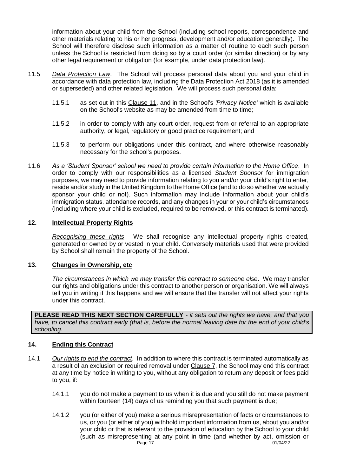information about your child from the School (including school reports, correspondence and other materials relating to his or her progress, development and/or education generally). The School will therefore disclose such information as a matter of routine to each such person unless the School is restricted from doing so by a court order (or similar direction) or by any other legal requirement or obligation (for example, under data protection law).

- 11.5 *Data Protection Law*. The School will process personal data about you and your child in accordance with data protection law, including the Data Protection Act 2018 (as it is amended or superseded) and other related legislation. We will process such personal data:
	- 11.5.1 as set out in this Clause 11, and in the School's *'Privacy Notice'* which is available on the School's website as may be amended from time to time;
	- 11.5.2 in order to comply with any court order, request from or referral to an appropriate authority, or legal, regulatory or good practice requirement; and
	- 11.5.3 to perform our obligations under this contract, and where otherwise reasonably necessary for the school's purposes.
- 11.6 *As a 'Student Sponsor' school we need to provide certain information to the Home Office*. In order to comply with our responsibilities as a licensed *Student Sponsor* for immigration purposes, we may need to provide information relating to you and/or your child's right to enter, reside and/or study in the United Kingdom to the Home Office (and to do so whether we actually sponsor your child or not). Such information may include information about your child's immigration status, attendance records, and any changes in your or your child's circumstances (including where your child is excluded, required to be removed, or this contract is terminated).

#### **12. Intellectual Property Rights**

*Recognising these rights*. We shall recognise any intellectual property rights created, generated or owned by or vested in your child. Conversely materials used that were provided by School shall remain the property of the School.

#### **13. Changes in Ownership, etc**

*The circumstances in which we may transfer this contract to someone else*. We may transfer our rights and obligations under this contract to another person or organisation. We will always tell you in writing if this happens and we will ensure that the transfer will not affect your rights under this contract.

**PLEASE READ THIS NEXT SECTION CAREFULLY** *- it sets out the rights we have, and that you have, to cancel this contract early (that is, before the normal leaving date for the end of your child's schooling*.

#### **14. Ending this Contract**

- 14.1 *Our rights to end the contract*. In addition to where this contract is terminated automatically as a result of an exclusion or required removal under Clause 7, the School may end this contract at any time by notice in writing to you, without any obligation to return any deposit or fees paid to you, if:
	- 14.1.1 you do not make a payment to us when it is due and you still do not make payment within fourteen (14) days of us reminding you that such payment is due;
	- Page 17 01/04/22 14.1.2 you (or either of you) make a serious misrepresentation of facts or circumstances to us, or you (or either of you) withhold important information from us, about you and/or your child or that is relevant to the provision of education by the School to your child (such as misrepresenting at any point in time (and whether by act, omission or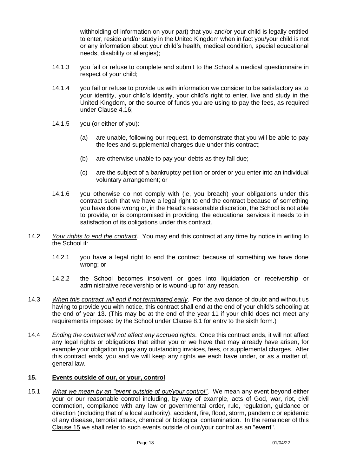withholding of information on your part) that you and/or your child is legally entitled to enter, reside and/or study in the United Kingdom when in fact you/your child is not or any information about your child's health, medical condition, special educational needs, disability or allergies);

- 14.1.3 you fail or refuse to complete and submit to the School a medical questionnaire in respect of your child;
- 14.1.4 you fail or refuse to provide us with information we consider to be satisfactory as to your identity, your child's identity, your child's right to enter, live and study in the United Kingdom, or the source of funds you are using to pay the fees, as required under Clause 4.16;
- 14.1.5 you (or either of you):
	- (a) are unable, following our request, to demonstrate that you will be able to pay the fees and supplemental charges due under this contract;
	- (b) are otherwise unable to pay your debts as they fall due;
	- (c) are the subject of a bankruptcy petition or order or you enter into an individual voluntary arrangement; or
- 14.1.6 you otherwise do not comply with (ie, you breach) your obligations under this contract such that we have a legal right to end the contract because of something you have done wrong or, in the Head's reasonable discretion, the School is not able to provide, or is compromised in providing, the educational services it needs to in satisfaction of its obligations under this contract.
- 14.2 *Your rights to end the contract*. You may end this contract at any time by notice in writing to the School if:
	- 14.2.1 you have a legal right to end the contract because of something we have done wrong; or
	- 14.2.2 the School becomes insolvent or goes into liquidation or receivership or administrative receivership or is wound-up for any reason.
- 14.3 *When this contract will end if not terminated early*. For the avoidance of doubt and without us having to provide you with notice, this contract shall end at the end of your child's schooling at the end of year 13. (This may be at the end of the year 11 if your child does not meet any requirements imposed by the School under Clause 8.1 for entry to the sixth form.)
- 14.4 *Ending the contract will not affect any accrued rights*. Once this contract ends, it will not affect any legal rights or obligations that either you or we have that may already have arisen, for example your obligation to pay any outstanding invoices, fees, or supplemental charges. After this contract ends, you and we will keep any rights we each have under, or as a matter of, general law.

#### **15. Events outside of our, or your, control**

15.1 *What we mean by an "event outside of our/your control"*. We mean any event beyond either your or our reasonable control including, by way of example, acts of God, war, riot, civil commotion, compliance with any law or governmental order, rule, regulation, guidance or direction (including that of a local authority), accident, fire, flood, storm, pandemic or epidemic of any disease, terrorist attack, chemical or biological contamination. In the remainder of this Clause 15 we shall refer to such events outside of our/your control as an "**event**".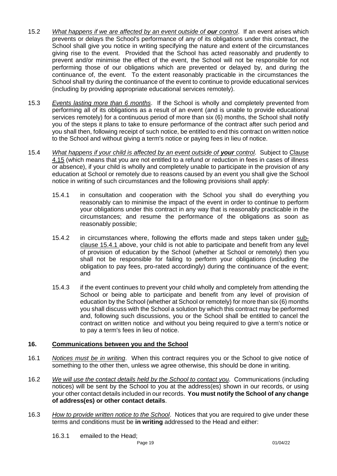- 15.2 *What happens if we are affected by an event outside of our control*. If an event arises which prevents or delays the School's performance of any of its obligations under this contract, the School shall give you notice in writing specifying the nature and extent of the circumstances giving rise to the event. Provided that the School has acted reasonably and prudently to prevent and/or minimise the effect of the event, the School will not be responsible for not performing those of our obligations which are prevented or delayed by, and during the continuance of, the event. To the extent reasonably practicable in the circumstances the School shall try during the continuance of the event to continue to provide educational services (including by providing appropriate educational services remotely).
- 15.3 *Events lasting more than 6 months*. If the School is wholly and completely prevented from performing all of its obligations as a result of an event (and is unable to provide educational services remotely) for a continuous period of more than six (6) months, the School shall notify you of the steps it plans to take to ensure performance of the contract after such period and you shall then, following receipt of such notice, be entitled to end this contract on written notice to the School and without giving a term's notice or paying fees in lieu of notice.
- 15.4 *What happens if your child is affected by an event outside of your control*. Subject to Clause 4.15 (which means that you are not entitled to a refund or reduction in fees in cases of illness or absence), if your child is wholly and completely unable to participate in the provision of any education at School or remotely due to reasons caused by an event you shall give the School notice in writing of such circumstances and the following provisions shall apply:
	- 15.4.1 in consultation and cooperation with the School you shall do everything you reasonably can to minimise the impact of the event in order to continue to perform your obligations under this contract in any way that is reasonably practicable in the circumstances; and resume the performance of the obligations as soon as reasonably possible;
	- 15.4.2 in circumstances where, following the efforts made and steps taken under subclause 15.4.1 above, your child is not able to participate and benefit from any level of provision of education by the School (whether at School or remotely) then you shall not be responsible for failing to perform your obligations (including the obligation to pay fees, pro-rated accordingly) during the continuance of the event; and
	- 15.4.3 if the event continues to prevent your child wholly and completely from attending the School or being able to participate and benefit from any level of provision of education by the School (whether at School or remotely) for more than six (6) months you shall discuss with the School a solution by which this contract may be performed and, following such discussions, you or the School shall be entitled to cancel the contract on written notice and without you being required to give a term's notice or to pay a term's fees in lieu of notice.

# **16. Communications between you and the School**

- 16.1 *Notices must be in writing*. When this contract requires you or the School to give notice of something to the other then, unless we agree otherwise, this should be done in writing.
- 16.2 *We will use the contact details held by the School to contact you*. Communications (including notices) will be sent by the School to you at the address(es) shown in our records, or using your other contact details included in our records. **You must notify the School of any change of address(es) or other contact details**.
- 16.3 *How to provide written notice to the School*. Notices that you are required to give under these terms and conditions must be **in writing** addressed to the Head and either:
	- 16.3.1 emailed to the Head;